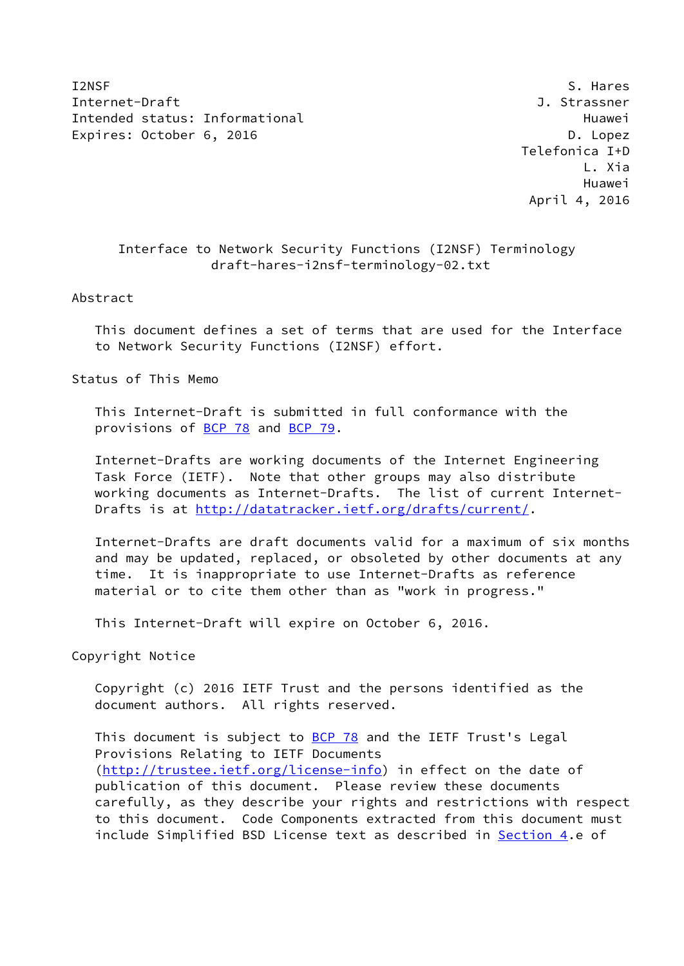I2NSF S. Hares S. Hares S. Hares S. Hares S. Hares S. Hares S. Hares S. Hares S. Hares Internet-Draft J. Strassner Intended status: Informational example and the Huawei Huawei Expires: October 6, 2016 **D. London** D. Lopez

 Telefonica I+D L. Xia Huawei April 4, 2016

## Interface to Network Security Functions (I2NSF) Terminology draft-hares-i2nsf-terminology-02.txt

## Abstract

 This document defines a set of terms that are used for the Interface to Network Security Functions (I2NSF) effort.

Status of This Memo

 This Internet-Draft is submitted in full conformance with the provisions of [BCP 78](https://datatracker.ietf.org/doc/pdf/bcp78) and [BCP 79](https://datatracker.ietf.org/doc/pdf/bcp79).

 Internet-Drafts are working documents of the Internet Engineering Task Force (IETF). Note that other groups may also distribute working documents as Internet-Drafts. The list of current Internet Drafts is at<http://datatracker.ietf.org/drafts/current/>.

 Internet-Drafts are draft documents valid for a maximum of six months and may be updated, replaced, or obsoleted by other documents at any time. It is inappropriate to use Internet-Drafts as reference material or to cite them other than as "work in progress."

This Internet-Draft will expire on October 6, 2016.

Copyright Notice

 Copyright (c) 2016 IETF Trust and the persons identified as the document authors. All rights reserved.

This document is subject to **[BCP 78](https://datatracker.ietf.org/doc/pdf/bcp78)** and the IETF Trust's Legal Provisions Relating to IETF Documents [\(http://trustee.ietf.org/license-info](http://trustee.ietf.org/license-info)) in effect on the date of publication of this document. Please review these documents carefully, as they describe your rights and restrictions with respect to this document. Code Components extracted from this document must include Simplified BSD License text as described in [Section 4.](#page-9-0)e of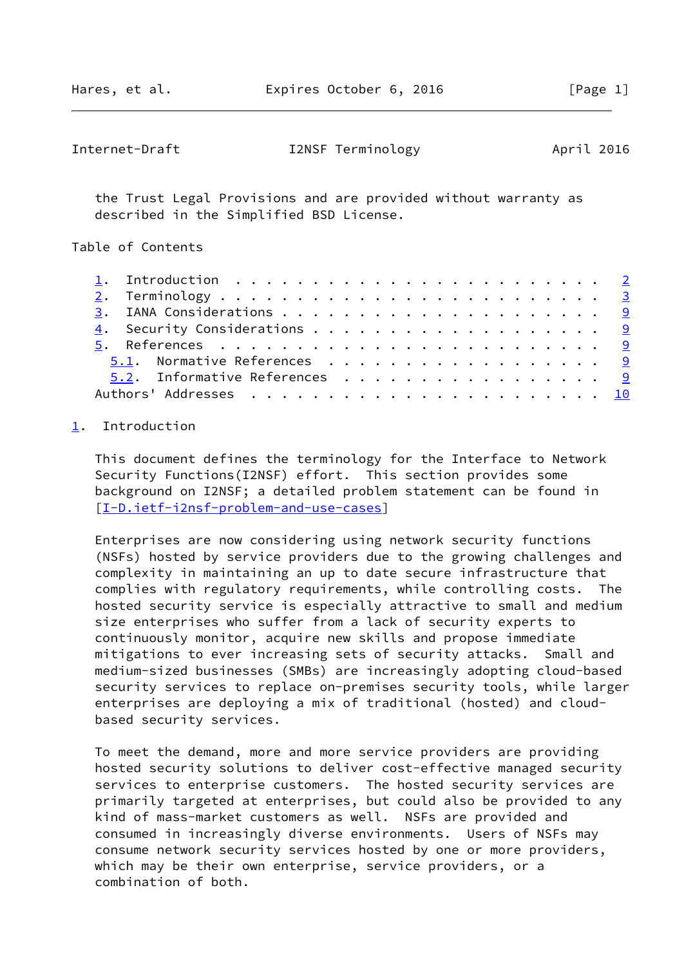<span id="page-1-1"></span>

| Internet-Draft | I2NSF Terminology | April 2016 |
|----------------|-------------------|------------|
|----------------|-------------------|------------|

 the Trust Legal Provisions and are provided without warranty as described in the Simplified BSD License.

Table of Contents

|  | 5.1. Normative References 9   |  |
|--|-------------------------------|--|
|  | 5.2. Informative References 9 |  |
|  |                               |  |

## <span id="page-1-0"></span>[1](#page-1-0). Introduction

 This document defines the terminology for the Interface to Network Security Functions(I2NSF) effort. This section provides some background on I2NSF; a detailed problem statement can be found in [\[I-D.ietf-i2nsf-problem-and-use-cases](#page-9-6)]

 Enterprises are now considering using network security functions (NSFs) hosted by service providers due to the growing challenges and complexity in maintaining an up to date secure infrastructure that complies with regulatory requirements, while controlling costs. The hosted security service is especially attractive to small and medium size enterprises who suffer from a lack of security experts to continuously monitor, acquire new skills and propose immediate mitigations to ever increasing sets of security attacks. Small and medium-sized businesses (SMBs) are increasingly adopting cloud-based security services to replace on-premises security tools, while larger enterprises are deploying a mix of traditional (hosted) and cloud based security services.

 To meet the demand, more and more service providers are providing hosted security solutions to deliver cost-effective managed security services to enterprise customers. The hosted security services are primarily targeted at enterprises, but could also be provided to any kind of mass-market customers as well. NSFs are provided and consumed in increasingly diverse environments. Users of NSFs may consume network security services hosted by one or more providers, which may be their own enterprise, service providers, or a combination of both.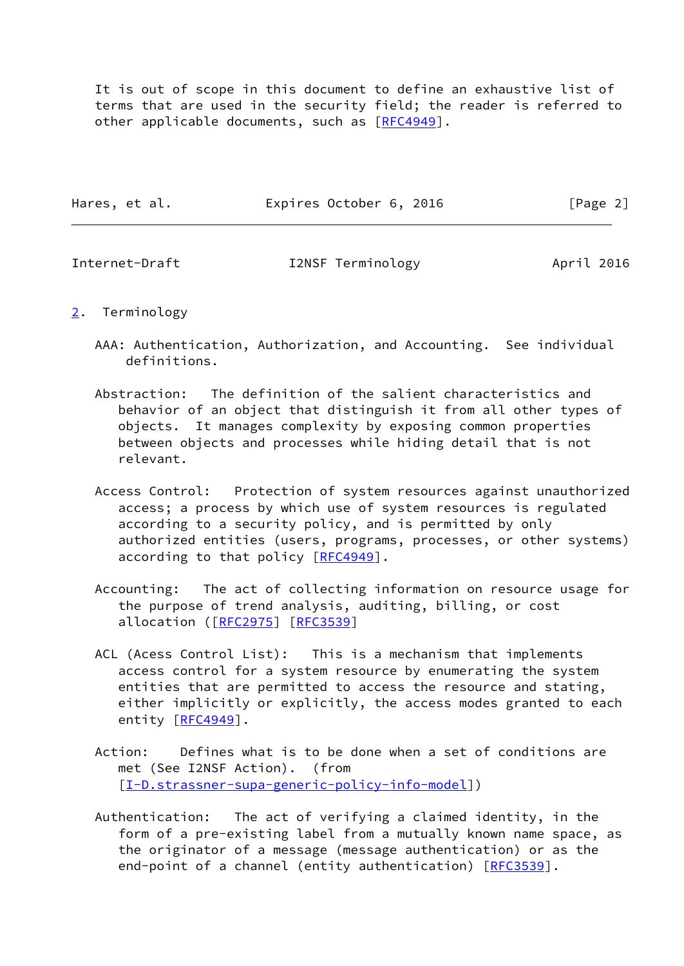It is out of scope in this document to define an exhaustive list of terms that are used in the security field; the reader is referred to other applicable documents, such as [\[RFC4949](https://datatracker.ietf.org/doc/pdf/rfc4949)].

| Hares, et al. | Expires October 6, 2016 | [Page 2] |
|---------------|-------------------------|----------|
|               |                         |          |

<span id="page-2-1"></span>

| Internet-Draft | I2NSF Terminology | April 2016 |
|----------------|-------------------|------------|
|----------------|-------------------|------------|

- <span id="page-2-0"></span>[2](#page-2-0). Terminology
	- AAA: Authentication, Authorization, and Accounting. See individual definitions.
	- Abstraction: The definition of the salient characteristics and behavior of an object that distinguish it from all other types of objects. It manages complexity by exposing common properties between objects and processes while hiding detail that is not relevant.
	- Access Control: Protection of system resources against unauthorized access; a process by which use of system resources is regulated according to a security policy, and is permitted by only authorized entities (users, programs, processes, or other systems) according to that policy [\[RFC4949](https://datatracker.ietf.org/doc/pdf/rfc4949)].
	- Accounting: The act of collecting information on resource usage for the purpose of trend analysis, auditing, billing, or cost allocation ([\[RFC2975](https://datatracker.ietf.org/doc/pdf/rfc2975)] [\[RFC3539](https://datatracker.ietf.org/doc/pdf/rfc3539)]
	- ACL (Acess Control List): This is a mechanism that implements access control for a system resource by enumerating the system entities that are permitted to access the resource and stating, either implicitly or explicitly, the access modes granted to each entity [[RFC4949](https://datatracker.ietf.org/doc/pdf/rfc4949)].
	- Action: Defines what is to be done when a set of conditions are met (See I2NSF Action). (from [[I-D.strassner-supa-generic-policy-info-model\]](#page-9-7))
	- Authentication: The act of verifying a claimed identity, in the form of a pre-existing label from a mutually known name space, as the originator of a message (message authentication) or as the end-point of a channel (entity authentication) [[RFC3539](https://datatracker.ietf.org/doc/pdf/rfc3539)].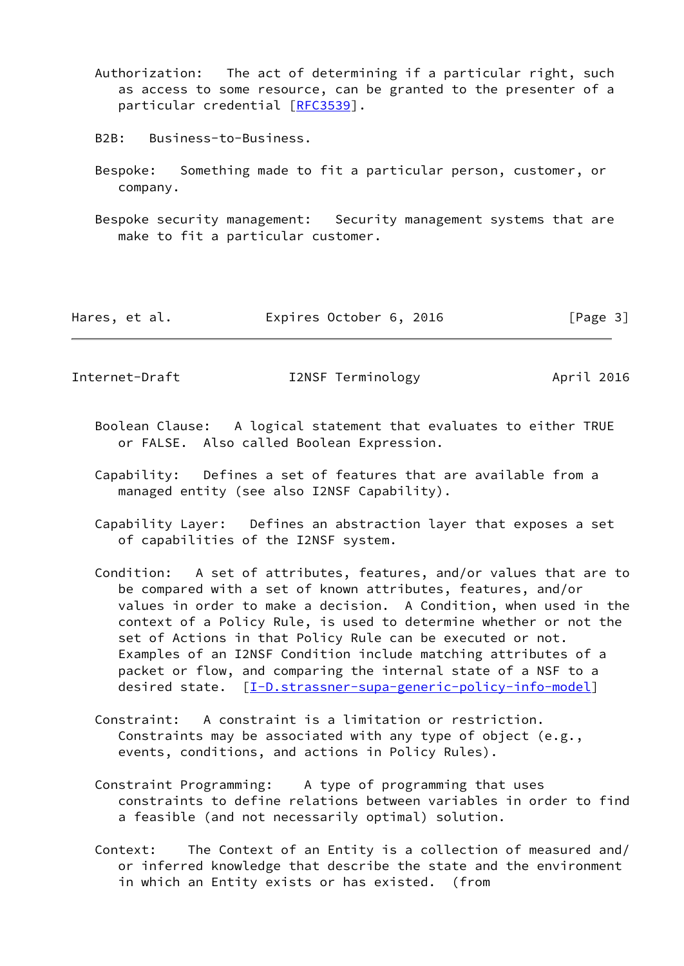- Authorization: The act of determining if a particular right, such as access to some resource, can be granted to the presenter of a particular credential [\[RFC3539](https://datatracker.ietf.org/doc/pdf/rfc3539)].
- B2B: Business-to-Business.
- Bespoke: Something made to fit a particular person, customer, or company.
- Bespoke security management: Security management systems that are make to fit a particular customer.

| Hares, et al. | Expires October 6, 2016 | [Page 3] |
|---------------|-------------------------|----------|
|---------------|-------------------------|----------|

Internet-Draft I2NSF Terminology April 2016

- Boolean Clause: A logical statement that evaluates to either TRUE or FALSE. Also called Boolean Expression.
- Capability: Defines a set of features that are available from a managed entity (see also I2NSF Capability).
- Capability Layer: Defines an abstraction layer that exposes a set of capabilities of the I2NSF system.
- Condition: A set of attributes, features, and/or values that are to be compared with a set of known attributes, features, and/or values in order to make a decision. A Condition, when used in the context of a Policy Rule, is used to determine whether or not the set of Actions in that Policy Rule can be executed or not. Examples of an I2NSF Condition include matching attributes of a packet or flow, and comparing the internal state of a NSF to a desired state. [[I-D.strassner-supa-generic-policy-info-model\]](#page-9-7)
- Constraint: A constraint is a limitation or restriction. Constraints may be associated with any type of object (e.g., events, conditions, and actions in Policy Rules).
- Constraint Programming: A type of programming that uses constraints to define relations between variables in order to find a feasible (and not necessarily optimal) solution.
- Context: The Context of an Entity is a collection of measured and/ or inferred knowledge that describe the state and the environment in which an Entity exists or has existed. (from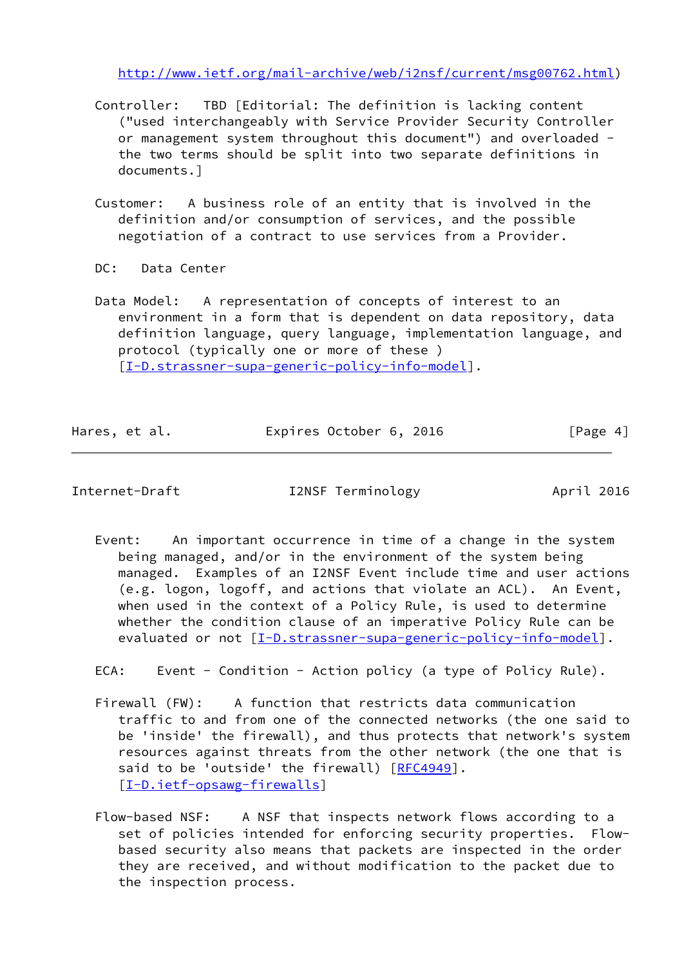[http://www.ietf.org/mail-archive/web/i2nsf/current/msg00762.html\)](http://www.ietf.org/mail-archive/web/i2nsf/current/msg00762.html)

- Controller: TBD [Editorial: The definition is lacking content ("used interchangeably with Service Provider Security Controller or management system throughout this document") and overloaded the two terms should be split into two separate definitions in documents.]
- Customer: A business role of an entity that is involved in the definition and/or consumption of services, and the possible negotiation of a contract to use services from a Provider.
- DC: Data Center
- Data Model: A representation of concepts of interest to an environment in a form that is dependent on data repository, data definition language, query language, implementation language, and protocol (typically one or more of these ) [[I-D.strassner-supa-generic-policy-info-model\]](#page-9-7).

| Hares, et al. | Expires October 6, 2016 | [Page 4] |
|---------------|-------------------------|----------|
|               |                         |          |

Internet-Draft I2NSF Terminology April 2016

 Event: An important occurrence in time of a change in the system being managed, and/or in the environment of the system being managed. Examples of an I2NSF Event include time and user actions (e.g. logon, logoff, and actions that violate an ACL). An Event, when used in the context of a Policy Rule, is used to determine whether the condition clause of an imperative Policy Rule can be evaluated or not [\[I-D.strassner-supa-generic-policy-info-model](#page-9-7)].

ECA: Event - Condition - Action policy (a type of Policy Rule).

- Firewall (FW): A function that restricts data communication traffic to and from one of the connected networks (the one said to be 'inside' the firewall), and thus protects that network's system resources against threats from the other network (the one that is said to be 'outside' the firewall) [[RFC4949](https://datatracker.ietf.org/doc/pdf/rfc4949)]. [[I-D.ietf-opsawg-firewalls\]](#page-9-8)
- Flow-based NSF: A NSF that inspects network flows according to a set of policies intended for enforcing security properties. Flow based security also means that packets are inspected in the order they are received, and without modification to the packet due to the inspection process.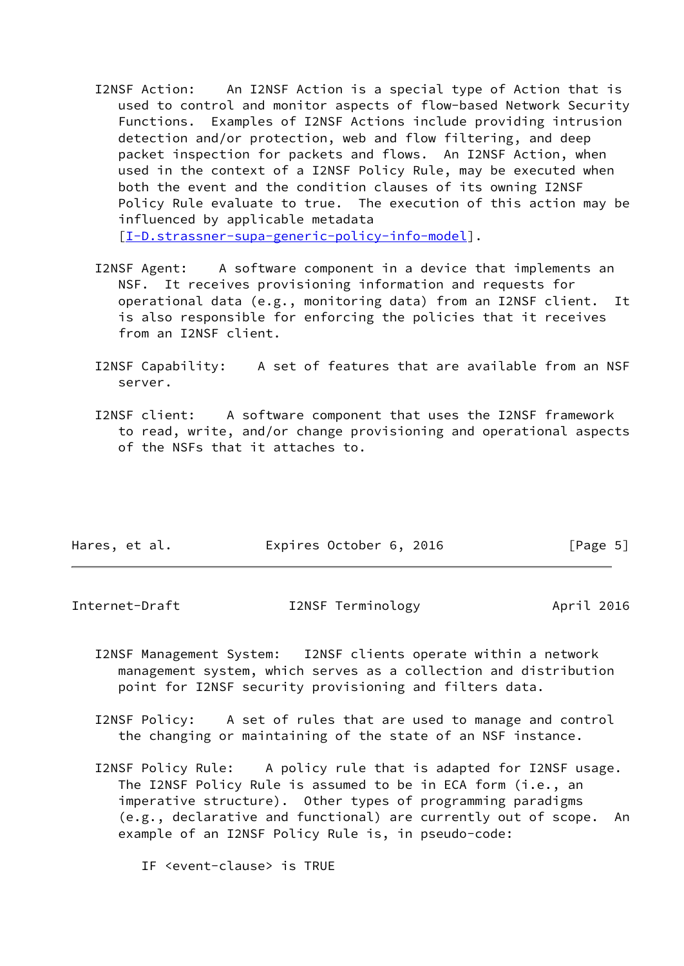I2NSF Action: An I2NSF Action is a special type of Action that is used to control and monitor aspects of flow-based Network Security Functions. Examples of I2NSF Actions include providing intrusion detection and/or protection, web and flow filtering, and deep packet inspection for packets and flows. An I2NSF Action, when used in the context of a I2NSF Policy Rule, may be executed when both the event and the condition clauses of its owning I2NSF Policy Rule evaluate to true. The execution of this action may be influenced by applicable metadata

[[I-D.strassner-supa-generic-policy-info-model\]](#page-9-7).

- I2NSF Agent: A software component in a device that implements an NSF. It receives provisioning information and requests for operational data (e.g., monitoring data) from an I2NSF client. It is also responsible for enforcing the policies that it receives from an I2NSF client.
- I2NSF Capability: A set of features that are available from an NSF server.
- I2NSF client: A software component that uses the I2NSF framework to read, write, and/or change provisioning and operational aspects of the NSFs that it attaches to.

| Hares, et al. | Expires October 6, 2016 | [Page 5] |
|---------------|-------------------------|----------|
|               |                         |          |

Internet-Draft I2NSF Terminology April 2016

- I2NSF Management System: I2NSF clients operate within a network management system, which serves as a collection and distribution point for I2NSF security provisioning and filters data.
- I2NSF Policy: A set of rules that are used to manage and control the changing or maintaining of the state of an NSF instance.
- I2NSF Policy Rule: A policy rule that is adapted for I2NSF usage. The I2NSF Policy Rule is assumed to be in ECA form (i.e., an imperative structure). Other types of programming paradigms (e.g., declarative and functional) are currently out of scope. An example of an I2NSF Policy Rule is, in pseudo-code:

IF <event-clause> is TRUE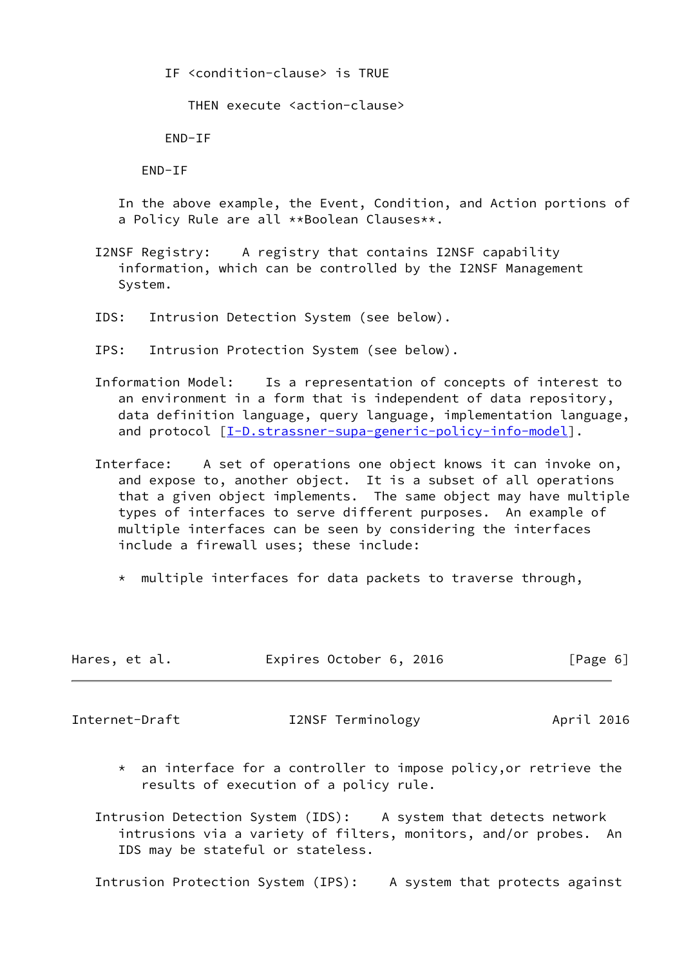IF <condition-clause> is TRUE

THEN execute <action-clause>

END-IF

END-IF

 In the above example, the Event, Condition, and Action portions of a Policy Rule are all \*\*Boolean Clauses\*\*.

- I2NSF Registry: A registry that contains I2NSF capability information, which can be controlled by the I2NSF Management System.
- IDS: Intrusion Detection System (see below).
- IPS: Intrusion Protection System (see below).
- Information Model: Is a representation of concepts of interest to an environment in a form that is independent of data repository, data definition language, query language, implementation language, and protocol  $[I-D.strassner-supa-generation-policy-info-model]$ .
- Interface: A set of operations one object knows it can invoke on, and expose to, another object. It is a subset of all operations that a given object implements. The same object may have multiple types of interfaces to serve different purposes. An example of multiple interfaces can be seen by considering the interfaces include a firewall uses; these include:
	- \* multiple interfaces for data packets to traverse through,

| Hares, et al. | Expires October 6, 2016 | [Page 6] |
|---------------|-------------------------|----------|
|               |                         |          |

Internet-Draft **I2NSF Terminology** April 2016

 \* an interface for a controller to impose policy,or retrieve the results of execution of a policy rule.

 Intrusion Detection System (IDS): A system that detects network intrusions via a variety of filters, monitors, and/or probes. An IDS may be stateful or stateless.

Intrusion Protection System (IPS): A system that protects against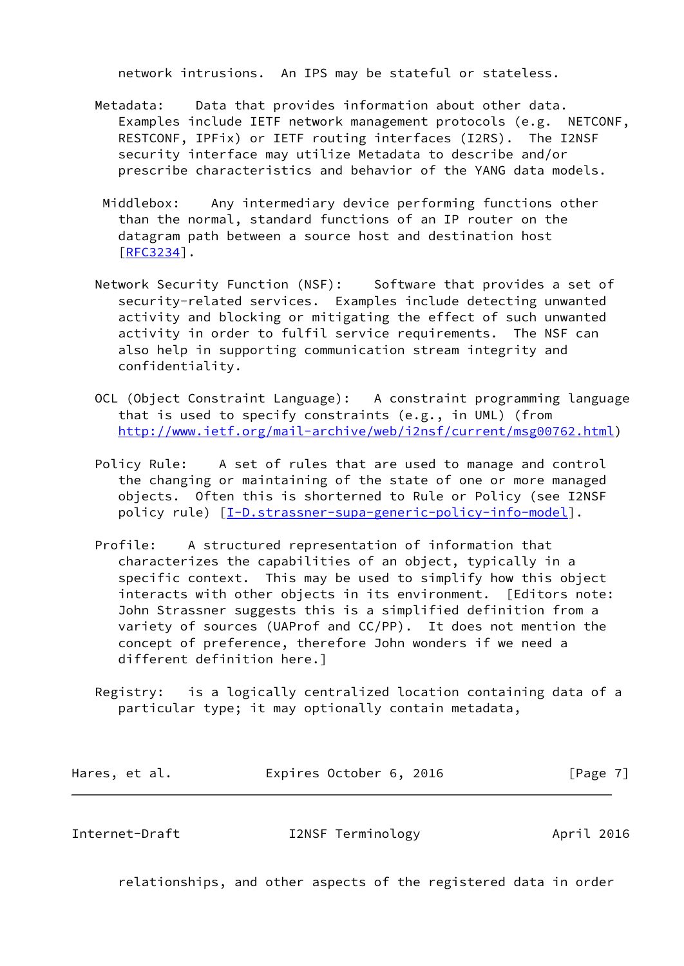network intrusions. An IPS may be stateful or stateless.

- Metadata: Data that provides information about other data. Examples include IETF network management protocols (e.g. NETCONF, RESTCONF, IPFix) or IETF routing interfaces (I2RS). The I2NSF security interface may utilize Metadata to describe and/or prescribe characteristics and behavior of the YANG data models.
- Middlebox: Any intermediary device performing functions other than the normal, standard functions of an IP router on the datagram path between a source host and destination host  $[REC3234]$ .
- Network Security Function (NSF): Software that provides a set of security-related services. Examples include detecting unwanted activity and blocking or mitigating the effect of such unwanted activity in order to fulfil service requirements. The NSF can also help in supporting communication stream integrity and confidentiality.
- OCL (Object Constraint Language): A constraint programming language that is used to specify constraints (e.g., in UML) (from [http://www.ietf.org/mail-archive/web/i2nsf/current/msg00762.html\)](http://www.ietf.org/mail-archive/web/i2nsf/current/msg00762.html)
- Policy Rule: A set of rules that are used to manage and control the changing or maintaining of the state of one or more managed objects. Often this is shorterned to Rule or Policy (see I2NSF policy rule) [\[I-D.strassner-supa-generic-policy-info-model](#page-9-7)].
- Profile: A structured representation of information that characterizes the capabilities of an object, typically in a specific context. This may be used to simplify how this object interacts with other objects in its environment. [Editors note: John Strassner suggests this is a simplified definition from a variety of sources (UAProf and CC/PP). It does not mention the concept of preference, therefore John wonders if we need a different definition here.]
- Registry: is a logically centralized location containing data of a particular type; it may optionally contain metadata,

| Hares, et al. | Expires October 6, 2016 | [Page 7] |
|---------------|-------------------------|----------|
|---------------|-------------------------|----------|

Internet-Draft I2NSF Terminology April 2016

relationships, and other aspects of the registered data in order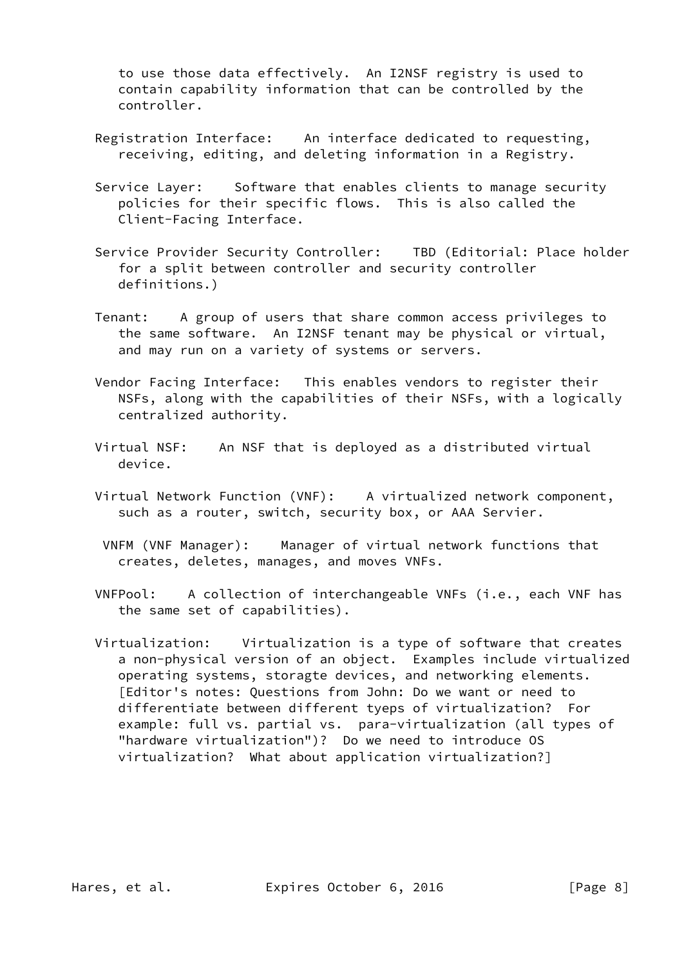to use those data effectively. An I2NSF registry is used to contain capability information that can be controlled by the controller.

- Registration Interface: An interface dedicated to requesting, receiving, editing, and deleting information in a Registry.
- Service Layer: Software that enables clients to manage security policies for their specific flows. This is also called the Client-Facing Interface.
- Service Provider Security Controller: TBD (Editorial: Place holder for a split between controller and security controller definitions.)
- Tenant: A group of users that share common access privileges to the same software. An I2NSF tenant may be physical or virtual, and may run on a variety of systems or servers.
- Vendor Facing Interface: This enables vendors to register their NSFs, along with the capabilities of their NSFs, with a logically centralized authority.
- Virtual NSF: An NSF that is deployed as a distributed virtual device.
- Virtual Network Function (VNF): A virtualized network component, such as a router, switch, security box, or AAA Servier.
- VNFM (VNF Manager): Manager of virtual network functions that creates, deletes, manages, and moves VNFs.
- VNFPool: A collection of interchangeable VNFs (i.e., each VNF has the same set of capabilities).
- Virtualization: Virtualization is a type of software that creates a non-physical version of an object. Examples include virtualized operating systems, storagte devices, and networking elements. [Editor's notes: Questions from John: Do we want or need to differentiate between different tyeps of virtualization? For example: full vs. partial vs. para-virtualization (all types of "hardware virtualization")? Do we need to introduce OS virtualization? What about application virtualization?]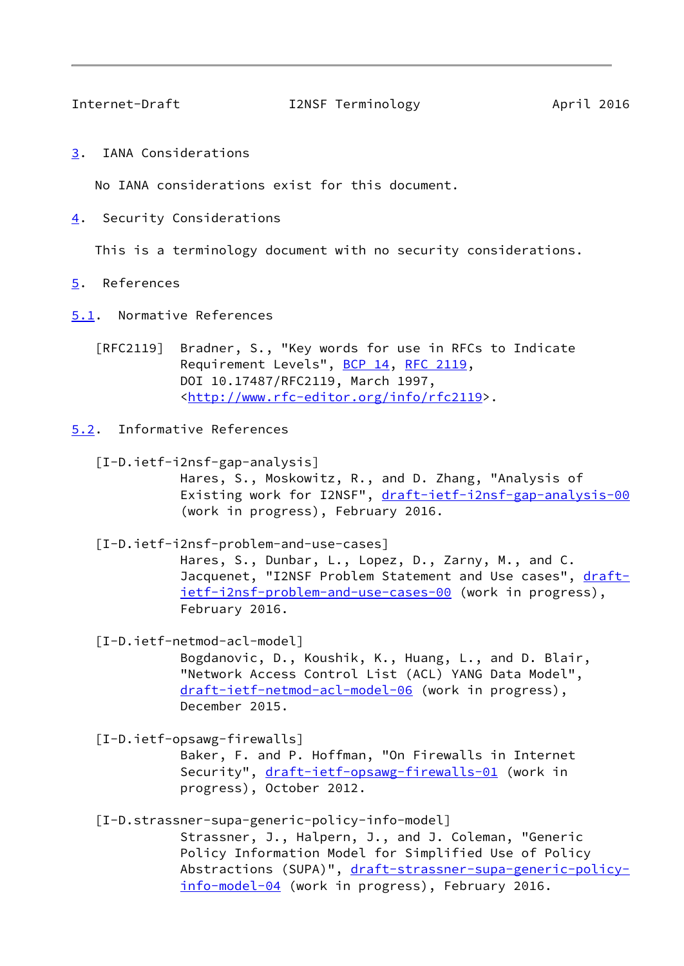<span id="page-9-2"></span>

Internet-Draft I2NSF Terminology April 2016

<span id="page-9-1"></span>[3](#page-9-1). IANA Considerations

No IANA considerations exist for this document.

<span id="page-9-0"></span>[4](#page-9-0). Security Considerations

This is a terminology document with no security considerations.

<span id="page-9-3"></span>[5](#page-9-3). References

<span id="page-9-4"></span>[5.1](#page-9-4). Normative References

 [RFC2119] Bradner, S., "Key words for use in RFCs to Indicate Requirement Levels", [BCP 14](https://datatracker.ietf.org/doc/pdf/bcp14), [RFC 2119](https://datatracker.ietf.org/doc/pdf/rfc2119), DOI 10.17487/RFC2119, March 1997, <<http://www.rfc-editor.org/info/rfc2119>>.

<span id="page-9-5"></span>[5.2](#page-9-5). Informative References

 [I-D.ietf-i2nsf-gap-analysis] Hares, S., Moskowitz, R., and D. Zhang, "Analysis of Existing work for I2NSF", [draft-ietf-i2nsf-gap-analysis-00](https://datatracker.ietf.org/doc/pdf/draft-ietf-i2nsf-gap-analysis-00) (work in progress), February 2016.

<span id="page-9-6"></span> [I-D.ietf-i2nsf-problem-and-use-cases] Hares, S., Dunbar, L., Lopez, D., Zarny, M., and C. Jacquenet, "I2NSF Problem Statement and Use cases", [draft](https://datatracker.ietf.org/doc/pdf/draft-ietf-i2nsf-problem-and-use-cases-00) [ietf-i2nsf-problem-and-use-cases-00](https://datatracker.ietf.org/doc/pdf/draft-ietf-i2nsf-problem-and-use-cases-00) (work in progress), February 2016.

[I-D.ietf-netmod-acl-model]

 Bogdanovic, D., Koushik, K., Huang, L., and D. Blair, "Network Access Control List (ACL) YANG Data Model", [draft-ietf-netmod-acl-model-06](https://datatracker.ietf.org/doc/pdf/draft-ietf-netmod-acl-model-06) (work in progress), December 2015.

<span id="page-9-8"></span>[I-D.ietf-opsawg-firewalls]

 Baker, F. and P. Hoffman, "On Firewalls in Internet Security", [draft-ietf-opsawg-firewalls-01](https://datatracker.ietf.org/doc/pdf/draft-ietf-opsawg-firewalls-01) (work in progress), October 2012.

<span id="page-9-7"></span>[I-D.strassner-supa-generic-policy-info-model]

 Strassner, J., Halpern, J., and J. Coleman, "Generic Policy Information Model for Simplified Use of Policy Abstractions (SUPA)", [draft-strassner-supa-generic-policy](https://datatracker.ietf.org/doc/pdf/draft-strassner-supa-generic-policy-info-model-04) [info-model-04](https://datatracker.ietf.org/doc/pdf/draft-strassner-supa-generic-policy-info-model-04) (work in progress), February 2016.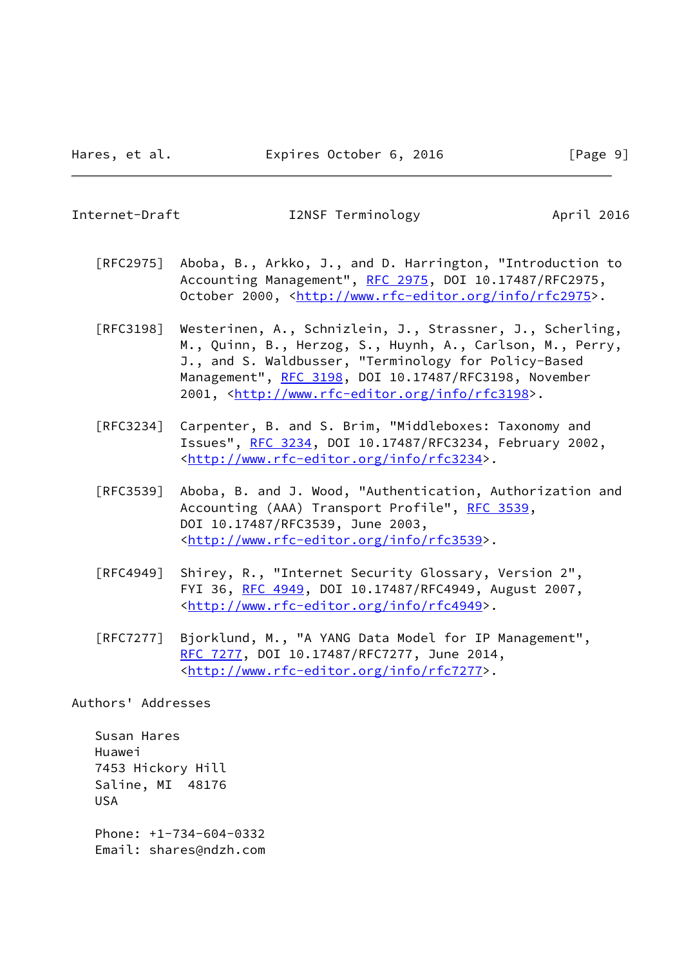<span id="page-10-0"></span>Internet-Draft I2NSF Terminology April 2016

- [RFC2975] Aboba, B., Arkko, J., and D. Harrington, "Introduction to Accounting Management", [RFC 2975,](https://datatracker.ietf.org/doc/pdf/rfc2975) DOI 10.17487/RFC2975, October 2000, [<http://www.rfc-editor.org/info/rfc2975](http://www.rfc-editor.org/info/rfc2975)>.
- [RFC3198] Westerinen, A., Schnizlein, J., Strassner, J., Scherling, M., Quinn, B., Herzog, S., Huynh, A., Carlson, M., Perry, J., and S. Waldbusser, "Terminology for Policy-Based Management", [RFC 3198](https://datatracker.ietf.org/doc/pdf/rfc3198), DOI 10.17487/RFC3198, November 2001, [<http://www.rfc-editor.org/info/rfc3198](http://www.rfc-editor.org/info/rfc3198)>.
- [RFC3234] Carpenter, B. and S. Brim, "Middleboxes: Taxonomy and Issues", [RFC 3234,](https://datatracker.ietf.org/doc/pdf/rfc3234) DOI 10.17487/RFC3234, February 2002, <<http://www.rfc-editor.org/info/rfc3234>>.
- [RFC3539] Aboba, B. and J. Wood, "Authentication, Authorization and Accounting (AAA) Transport Profile", [RFC 3539](https://datatracker.ietf.org/doc/pdf/rfc3539), DOI 10.17487/RFC3539, June 2003, <<http://www.rfc-editor.org/info/rfc3539>>.
- [RFC4949] Shirey, R., "Internet Security Glossary, Version 2", FYI 36, [RFC 4949,](https://datatracker.ietf.org/doc/pdf/rfc4949) DOI 10.17487/RFC4949, August 2007, <<http://www.rfc-editor.org/info/rfc4949>>.
- [RFC7277] Bjorklund, M., "A YANG Data Model for IP Management", [RFC 7277,](https://datatracker.ietf.org/doc/pdf/rfc7277) DOI 10.17487/RFC7277, June 2014, <<http://www.rfc-editor.org/info/rfc7277>>.

Authors' Addresses

 Susan Hares Huawei 7453 Hickory Hill Saline, MI 48176 USA Phone: +1-734-604-0332 Email: shares@ndzh.com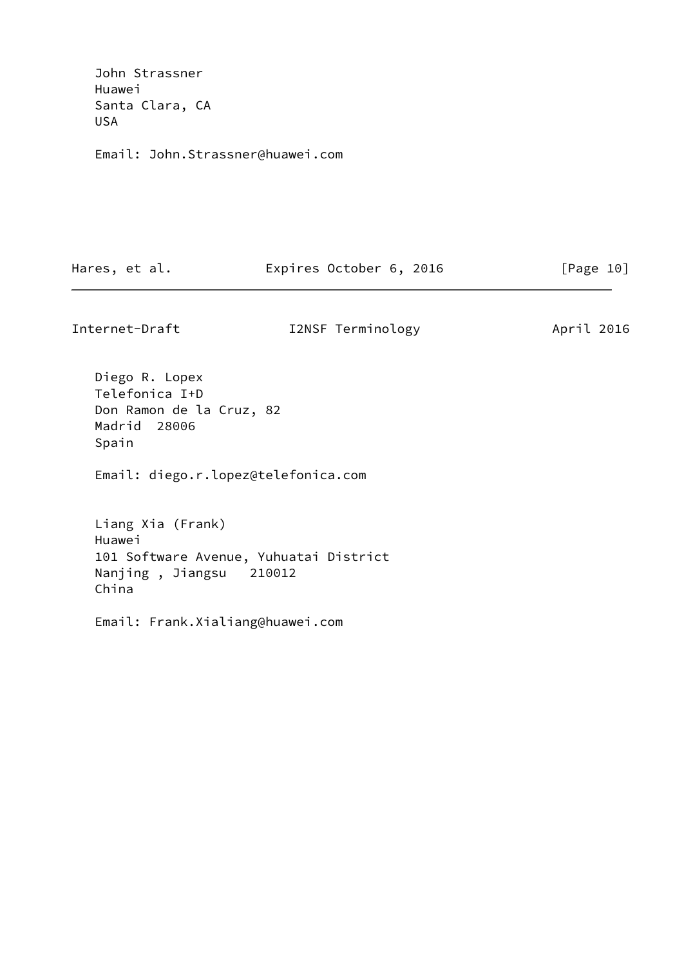John Strassner Huawei Santa Clara, CA USA

Email: John.Strassner@huawei.com

Hares, et al. **Expires October 6, 2016** [Page 10]

Internet-Draft **I2NSF** Terminology **April 2016** 

 Diego R. Lopex Telefonica I+D Don Ramon de la Cruz, 82 Madrid 28006 Spain

Email: diego.r.lopez@telefonica.com

 Liang Xia (Frank) Huawei 101 Software Avenue, Yuhuatai District Nanjing , Jiangsu 210012 China

Email: Frank.Xialiang@huawei.com